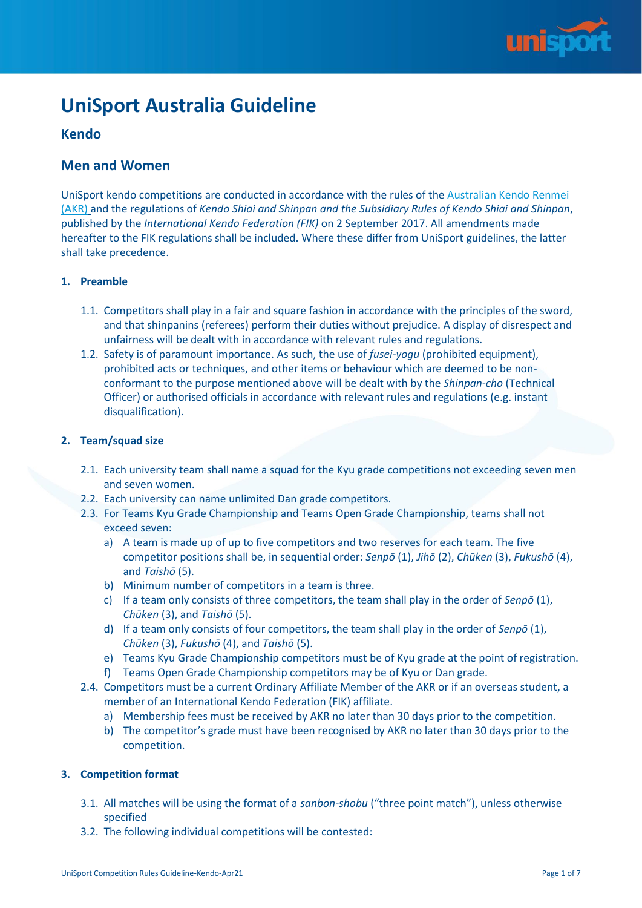

# **UniSport Australia Guideline**

# **Kendo**

# **Men and Women**

UniSport kendo competitions are conducted in accordance with the rules of the [Australian Kendo Renmei](http://www.kendoaustralia.asn.au/content/?page_id=801)  [\(AKR\)](http://www.kendoaustralia.asn.au/content/?page_id=801) and the regulations of *Kendo Shiai and Shinpan and the Subsidiary Rules of Kendo Shiai and Shinpan*, published by the *International Kendo Federation (FIK)* on 2 September 2017. All amendments made hereafter to the FIK regulations shall be included. Where these differ from UniSport guidelines, the latter shall take precedence.

# **1. Preamble**

- 1.1. Competitors shall play in a fair and square fashion in accordance with the principles of the sword, and that shinpanins (referees) perform their duties without prejudice. A display of disrespect and unfairness will be dealt with in accordance with relevant rules and regulations.
- 1.2. Safety is of paramount importance. As such, the use of *fusei-yogu* (prohibited equipment), prohibited acts or techniques, and other items or behaviour which are deemed to be nonconformant to the purpose mentioned above will be dealt with by the *Shinpan-cho* (Technical Officer) or authorised officials in accordance with relevant rules and regulations (e.g. instant disqualification).

## **2. Team/squad size**

- 2.1. Each university team shall name a squad for the Kyu grade competitions not exceeding seven men and seven women.
- 2.2. Each university can name unlimited Dan grade competitors.
- 2.3. For Teams Kyu Grade Championship and Teams Open Grade Championship, teams shall not exceed seven:
	- a) A team is made up of up to five competitors and two reserves for each team. The five competitor positions shall be, in sequential order: *Senpō* (1), *Jihō* (2), *Chūken* (3), *Fukushō* (4), and *Taishō* (5).
	- b) Minimum number of competitors in a team is three.
	- c) If a team only consists of three competitors, the team shall play in the order of *Senpō* (1), *Chūken* (3), and *Taishō* (5).
	- d) If a team only consists of four competitors, the team shall play in the order of *Senpō* (1), *Chūken* (3), *Fukushō* (4), and *Taishō* (5).
	- e) Teams Kyu Grade Championship competitors must be of Kyu grade at the point of registration.
	- f) Teams Open Grade Championship competitors may be of Kyu or Dan grade.
- 2.4. Competitors must be a current Ordinary Affiliate Member of the AKR or if an overseas student, a member of an International Kendo Federation (FIK) affiliate.
	- a) Membership fees must be received by AKR no later than 30 days prior to the competition.
	- b) The competitor's grade must have been recognised by AKR no later than 30 days prior to the competition.

## **3. Competition format**

- 3.1. All matches will be using the format of a *sanbon-shobu* ("three point match"), unless otherwise specified
- 3.2. The following individual competitions will be contested: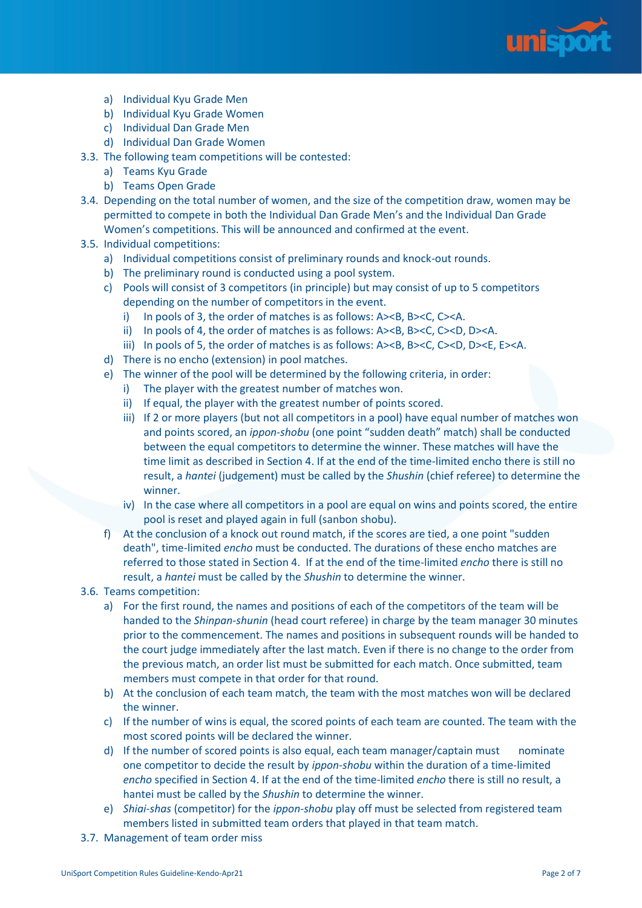

- a) Individual Kyu Grade Men
- b) Individual Kyu Grade Women
- c) Individual Dan Grade Men
- d) Individual Dan Grade Women
- 3.3. The following team competitions will be contested:
	- a) Teams Kyu Grade
	- b) Teams Open Grade
- 3.4. Depending on the total number of women, and the size of the competition draw, women may be permitted to compete in both the Individual Dan Grade Men's and the Individual Dan Grade Women's competitions. This will be announced and confirmed at the event.
- 3.5. Individual competitions:
	- a) Individual competitions consist of preliminary rounds and knock-out rounds.
	- b) The preliminary round is conducted using a pool system.
	- c) Pools will consist of 3 competitors (in principle) but may consist of up to 5 competitors depending on the number of competitors in the event.
		- i) In pools of 3, the order of matches is as follows: A><B, B><C, C><A.
		- ii) In pools of 4, the order of matches is as follows: A><B, B><C, C><D, D><A.
		- iii) In pools of 5, the order of matches is as follows: A><B, B><C, C><D, D><E, E><A.
	- d) There is no encho (extension) in pool matches.
	- e) The winner of the pool will be determined by the following criteria, in order:
		- i) The player with the greatest number of matches won.
		- ii) If equal, the player with the greatest number of points scored.
		- iii) If 2 or more players (but not all competitors in a pool) have equal number of matches won and points scored, an *ippon-shobu* (one point "sudden death" match) shall be conducted between the equal competitors to determine the winner. These matches will have the time limit as described in Section 4. If at the end of the time-limited encho there is still no result, a *hantei* (judgement) must be called by the *Shushin* (chief referee) to determine the winner.
		- iv) In the case where all competitors in a pool are equal on wins and points scored, the entire pool is reset and played again in full (sanbon shobu).
	- f) At the conclusion of a knock out round match, if the scores are tied, a one point "sudden death", time-limited *encho* must be conducted. The durations of these encho matches are referred to those stated in Section 4. If at the end of the time-limited *encho* there is still no result, a *hantei* must be called by the *Shushin* to determine the winner.
- 3.6. Teams competition:
	- a) For the first round, the names and positions of each of the competitors of the team will be handed to the *Shinpan-shunin* (head court referee) in charge by the team manager 30 minutes prior to the commencement. The names and positions in subsequent rounds will be handed to the court judge immediately after the last match. Even if there is no change to the order from the previous match, an order list must be submitted for each match. Once submitted, team members must compete in that order for that round.
	- b) At the conclusion of each team match, the team with the most matches won will be declared the winner.
	- c) If the number of wins is equal, the scored points of each team are counted. The team with the most scored points will be declared the winner.
	- d) If the number of scored points is also equal, each team manager/captain must nominate one competitor to decide the result by *ippon-shobu* within the duration of a time-limited *encho* specified in Section 4. If at the end of the time-limited *encho* there is still no result, a hantei must be called by the *Shushin* to determine the winner.
	- e) *Shiai-shas* (competitor) for the *ippon-shobu* play off must be selected from registered team members listed in submitted team orders that played in that team match.
- 3.7. Management of team order miss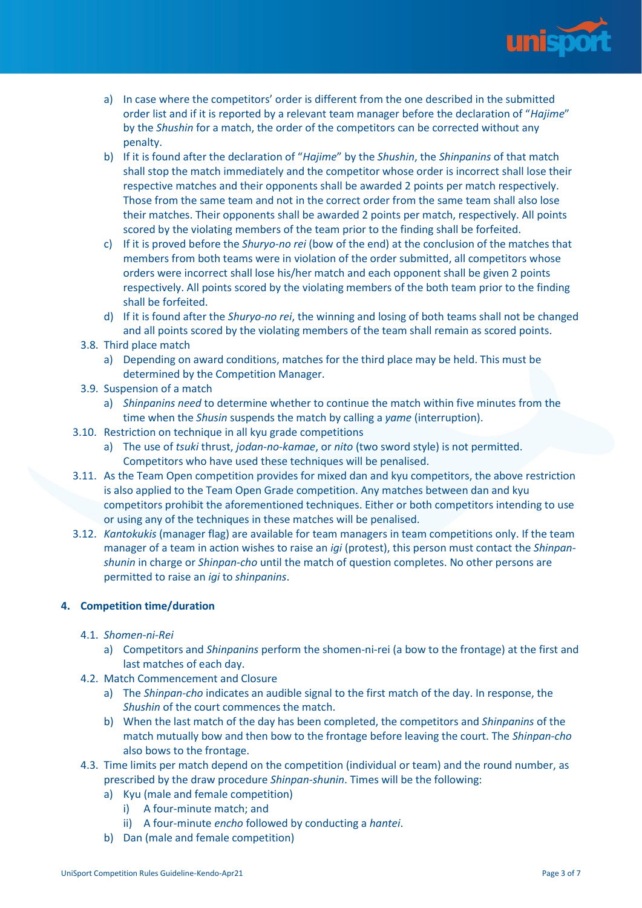

- a) In case where the competitors' order is different from the one described in the submitted order list and if it is reported by a relevant team manager before the declaration of "*Hajime*" by the *Shushin* for a match, the order of the competitors can be corrected without any penalty.
- b) If it is found after the declaration of "*Hajime*" by the *Shushin*, the *Shinpanins* of that match shall stop the match immediately and the competitor whose order is incorrect shall lose their respective matches and their opponents shall be awarded 2 points per match respectively. Those from the same team and not in the correct order from the same team shall also lose their matches. Their opponents shall be awarded 2 points per match, respectively. All points scored by the violating members of the team prior to the finding shall be forfeited.
- c) If it is proved before the *Shuryo-no rei* (bow of the end) at the conclusion of the matches that members from both teams were in violation of the order submitted, all competitors whose orders were incorrect shall lose his/her match and each opponent shall be given 2 points respectively. All points scored by the violating members of the both team prior to the finding shall be forfeited.
- d) If it is found after the *Shuryo-no rei*, the winning and losing of both teams shall not be changed and all points scored by the violating members of the team shall remain as scored points.
- 3.8. Third place match
	- a) Depending on award conditions, matches for the third place may be held. This must be determined by the Competition Manager.
- 3.9. Suspension of a match
	- a) *Shinpanins need* to determine whether to continue the match within five minutes from the time when the *Shusin* suspends the match by calling a *yame* (interruption).
- 3.10. Restriction on technique in all kyu grade competitions
	- a) The use of *tsuki* thrust, *jodan-no-kamae*, or *nito* (two sword style) is not permitted. Competitors who have used these techniques will be penalised.
- 3.11. As the Team Open competition provides for mixed dan and kyu competitors, the above restriction is also applied to the Team Open Grade competition. Any matches between dan and kyu competitors prohibit the aforementioned techniques. Either or both competitors intending to use or using any of the techniques in these matches will be penalised.
- 3.12. *Kantokukis* (manager flag) are available for team managers in team competitions only. If the team manager of a team in action wishes to raise an *igi* (protest), this person must contact the *Shinpanshunin* in charge or *Shinpan-cho* until the match of question completes. No other persons are permitted to raise an *igi* to *shinpanins*.

# **4. Competition time/duration**

- 4.1. *Shomen-ni-Rei*
	- a) Competitors and *Shinpanins* perform the shomen-ni-rei (a bow to the frontage) at the first and last matches of each day.
- 4.2. Match Commencement and Closure
	- a) The *Shinpan-cho* indicates an audible signal to the first match of the day. In response, the *Shushin* of the court commences the match.
	- b) When the last match of the day has been completed, the competitors and *Shinpanins* of the match mutually bow and then bow to the frontage before leaving the court. The *Shinpan-cho* also bows to the frontage.
- 4.3. Time limits per match depend on the competition (individual or team) and the round number, as prescribed by the draw procedure *Shinpan-shunin*. Times will be the following:
	- a) Kyu (male and female competition)
		- i) A four-minute match; and
		- ii) A four-minute *encho* followed by conducting a *hantei*.
	- b) Dan (male and female competition)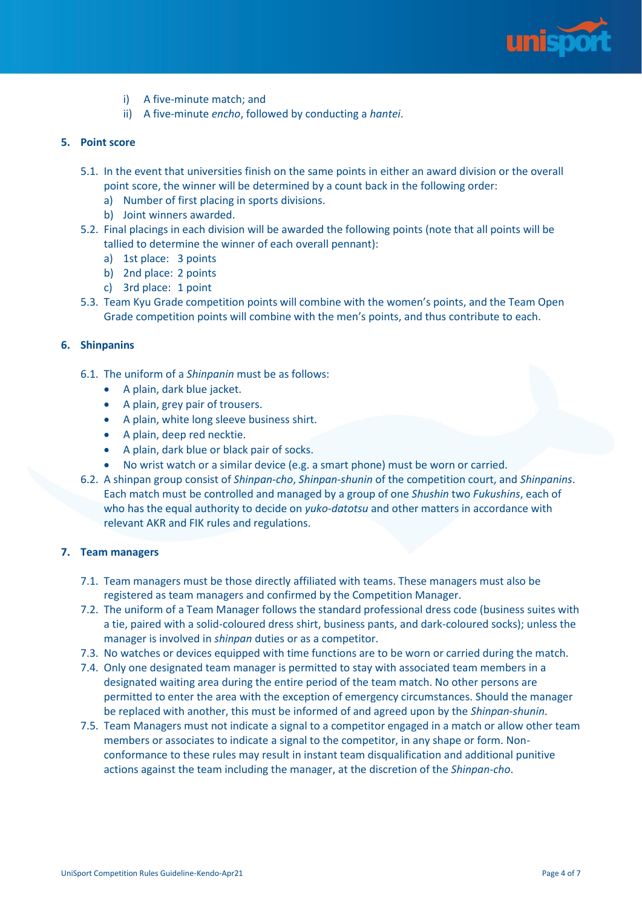

- i) A five-minute match; and
- ii) A five-minute *encho*, followed by conducting a *hantei*.

#### **5. Point score**

- 5.1. In the event that universities finish on the same points in either an award division or the overall point score, the winner will be determined by a count back in the following order:
	- a) Number of first placing in sports divisions.
	- b) Joint winners awarded.
- 5.2. Final placings in each division will be awarded the following points (note that all points will be tallied to determine the winner of each overall pennant):
	- a) 1st place: 3 points
	- b) 2nd place: 2 points
	- c) 3rd place: 1 point
- 5.3. Team Kyu Grade competition points will combine with the women's points, and the Team Open Grade competition points will combine with the men's points, and thus contribute to each.

#### **6. Shinpanins**

- 6.1. The uniform of a *Shinpanin* must be as follows:
	- A plain, dark blue jacket.
	- A plain, grey pair of trousers.
	- A plain, white long sleeve business shirt.
	- A plain, deep red necktie.
	- A plain, dark blue or black pair of socks.
	- No wrist watch or a similar device (e.g. a smart phone) must be worn or carried.
- 6.2. A shinpan group consist of *Shinpan*-*cho*, *Shinpan*-*shunin* of the competition court, and *Shinpanins*. Each match must be controlled and managed by a group of one *Shushin* two *Fukushins*, each of who has the equal authority to decide on *yuko*-*datotsu* and other matters in accordance with relevant AKR and FIK rules and regulations.

#### **7. Team managers**

- 7.1. Team managers must be those directly affiliated with teams. These managers must also be registered as team managers and confirmed by the Competition Manager.
- 7.2. The uniform of a Team Manager follows the standard professional dress code (business suites with a tie, paired with a solid-coloured dress shirt, business pants, and dark-coloured socks); unless the manager is involved in *shinpan* duties or as a competitor.
- 7.3. No watches or devices equipped with time functions are to be worn or carried during the match.
- 7.4. Only one designated team manager is permitted to stay with associated team members in a designated waiting area during the entire period of the team match. No other persons are permitted to enter the area with the exception of emergency circumstances. Should the manager be replaced with another, this must be informed of and agreed upon by the *Shinpan-shunin*.
- 7.5. Team Managers must not indicate a signal to a competitor engaged in a match or allow other team members or associates to indicate a signal to the competitor, in any shape or form. Nonconformance to these rules may result in instant team disqualification and additional punitive actions against the team including the manager, at the discretion of the *Shinpan-cho*.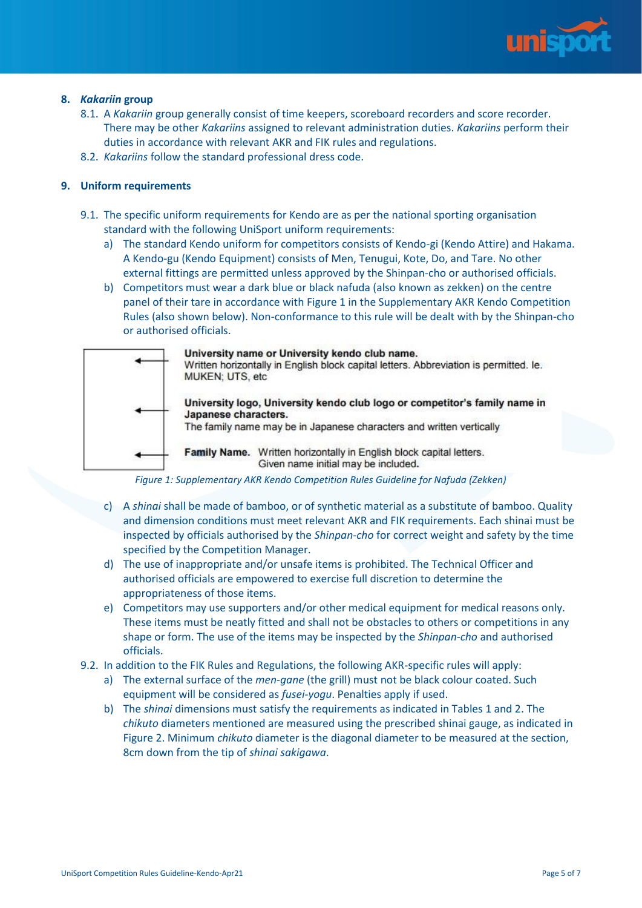

## **8.** *Kakariin* **group**

- 8.1. A *Kakariin* group generally consist of time keepers, scoreboard recorders and score recorder. There may be other *Kakariins* assigned to relevant administration duties. *Kakariins* perform their duties in accordance with relevant AKR and FIK rules and regulations.
- 8.2. *Kakariins* follow the standard professional dress code.

# **9. Uniform requirements**

- 9.1. The specific uniform requirements for Kendo are as per the national sporting organisation standard with the following UniSport uniform requirements:
	- a) The standard Kendo uniform for competitors consists of Kendo-gi (Kendo Attire) and Hakama. A Kendo-gu (Kendo Equipment) consists of Men, Tenugui, Kote, Do, and Tare. No other external fittings are permitted unless approved by the Shinpan-cho or authorised officials.
	- b) Competitors must wear a dark blue or black nafuda (also known as zekken) on the centre panel of their tare in accordance with Figure 1 in the [Supplementary AKR Kendo Competition](http://www.kendoaustralia.asn.au/content/?page_id=1230)  [Rules](http://www.kendoaustralia.asn.au/content/?page_id=1230) (also shown below). Non-conformance to this rule will be dealt with by the Shinpan-cho or authorised officials.



*Figure 1: Supplementary AKR Kendo Competition Rules Guideline for Nafuda (Zekken)*

- c) A *shinai* shall be made of bamboo, or of synthetic material as a substitute of bamboo. Quality and dimension conditions must meet relevant AKR and FIK requirements. Each shinai must be inspected by officials authorised by the *Shinpan*-*cho* for correct weight and safety by the time specified by the Competition Manager.
- d) The use of inappropriate and/or unsafe items is prohibited. The Technical Officer and authorised officials are empowered to exercise full discretion to determine the appropriateness of those items.
- e) Competitors may use supporters and/or other medical equipment for medical reasons only. These items must be neatly fitted and shall not be obstacles to others or competitions in any shape or form. The use of the items may be inspected by the *Shinpan*-*cho* and authorised officials.
- 9.2. In addition to the FIK Rules and Regulations, the following AKR-specific rules will apply:
	- a) The external surface of the *men*-*gane* (the grill) must not be black colour coated. Such equipment will be considered as *fusei*-*yogu*. Penalties apply if used.
	- b) The *shinai* dimensions must satisfy the requirements as indicated in Tables 1 and 2. The *chikuto* diameters mentioned are measured using the prescribed shinai gauge, as indicated in Figure 2. Minimum *chikuto* diameter is the diagonal diameter to be measured at the section, 8cm down from the tip of *shinai sakigawa*.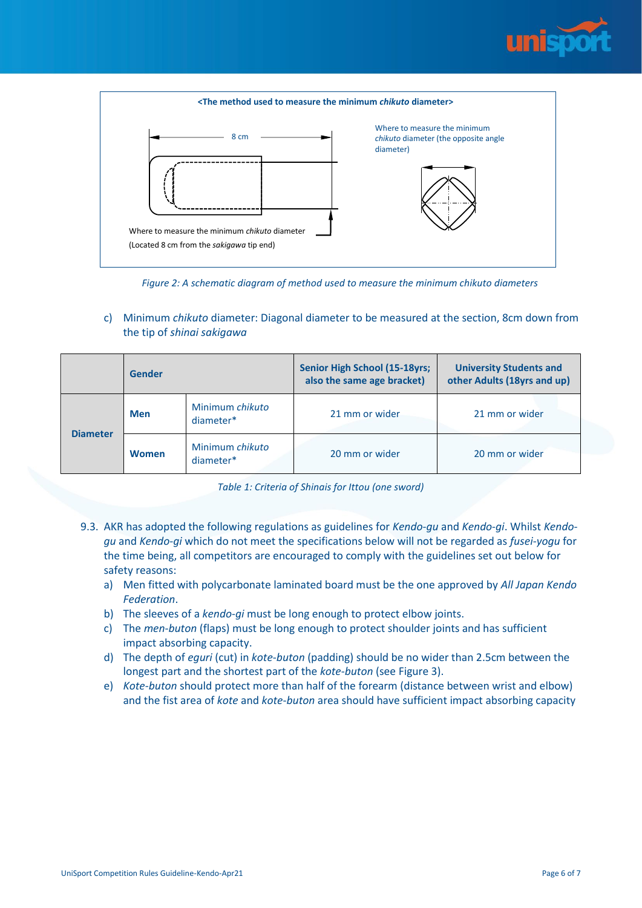



*Figure 2: A schematic diagram of method used to measure the minimum chikuto diameters*

c) Minimum *chikuto* diameter: Diagonal diameter to be measured at the section, 8cm down from the tip of *shinai sakigawa*

|                 | <b>Gender</b> |                              | <b>Senior High School (15-18yrs;</b><br>also the same age bracket) | <b>University Students and</b><br>other Adults (18yrs and up) |  |
|-----------------|---------------|------------------------------|--------------------------------------------------------------------|---------------------------------------------------------------|--|
| <b>Diameter</b> | <b>Men</b>    | Minimum chikuto<br>diameter* | 21 mm or wider                                                     | 21 mm or wider                                                |  |
|                 | <b>Women</b>  | Minimum chikuto<br>diameter* | 20 mm or wider                                                     | 20 mm or wider                                                |  |

|  |  |  |  | Table 1: Criteria of Shinais for Ittou (one sword) |
|--|--|--|--|----------------------------------------------------|
|--|--|--|--|----------------------------------------------------|

- 9.3. AKR has adopted the following regulations as guidelines for *Kendo*-*gu* and *Kendo*-*gi*. Whilst *Kendogu* and *Kendo*-*gi* which do not meet the specifications below will not be regarded as *fusei*-*yogu* for the time being, all competitors are encouraged to comply with the guidelines set out below for safety reasons:
	- a) Men fitted with polycarbonate laminated board must be the one approved by *All Japan Kendo Federation*.
	- b) The sleeves of a *kendo*-*gi* must be long enough to protect elbow joints.
	- c) The *men*-*buton* (flaps) must be long enough to protect shoulder joints and has sufficient impact absorbing capacity.
	- d) The depth of *eguri* (cut) in *kote*-*buton* (padding) should be no wider than 2.5cm between the longest part and the shortest part of the *kote*-*buton* (see Figure 3).
	- e) *Kote*-*buton* should protect more than half of the forearm (distance between wrist and elbow) and the fist area of *kote* and *kote*-*buton* area should have sufficient impact absorbing capacity